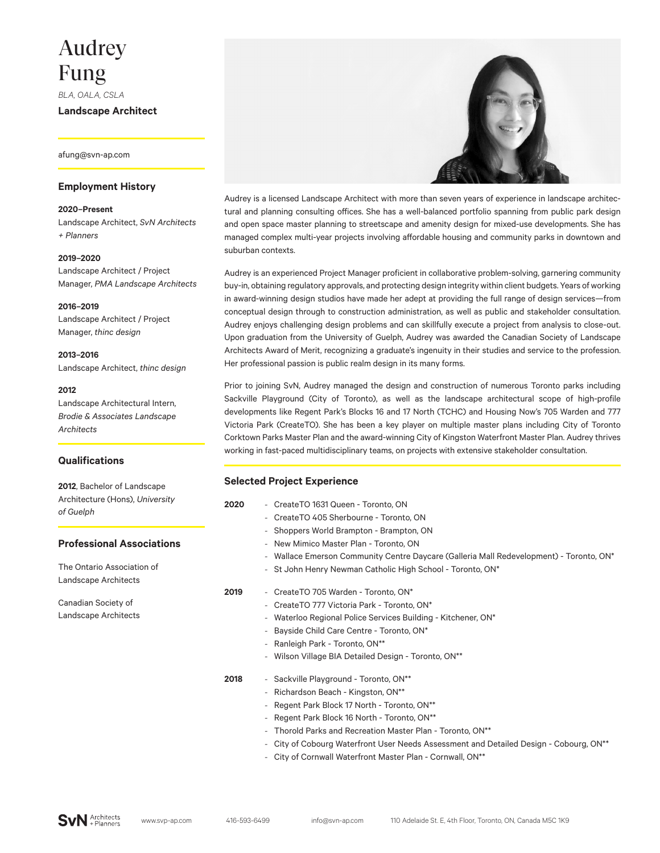# Audrey Fung

*BLA, OALA, CSLA*

**Landscape Architect**

afung@svn-ap.com

# **Employment History**

#### **2020–Present**

Landscape Architect, *SvN Architects + Planners*

#### **2019–2020**

Landscape Architect / Project Manager, *PMA Landscape Architects*

# **2016–2019**

Landscape Architect / Project Manager, *thinc design*

**2013–2016** Landscape Architect, *thinc design*

## **2012**

Landscape Architectural Intern, *Brodie & Associates Landscape Architects*

# **Qualifications**

**2012**, Bachelor of Landscape Architecture (Hons), *University of Guelph*

## **Professional Associations**

The Ontario Association of Landscape Architects

Canadian Society of Landscape Architects



Audrey is a licensed Landscape Architect with more than seven years of experience in landscape architectural and planning consulting offices. She has a well-balanced portfolio spanning from public park design and open space master planning to streetscape and amenity design for mixed-use developments. She has managed complex multi-year projects involving affordable housing and community parks in downtown and suburban contexts.

Audrey is an experienced Project Manager proficient in collaborative problem-solving, garnering community buy-in, obtaining regulatory approvals, and protecting design integrity within client budgets. Years of working in award-winning design studios have made her adept at providing the full range of design services—from conceptual design through to construction administration, as well as public and stakeholder consultation. Audrey enjoys challenging design problems and can skillfully execute a project from analysis to close-out. Upon graduation from the University of Guelph, Audrey was awarded the Canadian Society of Landscape Architects Award of Merit, recognizing a graduate's ingenuity in their studies and service to the profession. Her professional passion is public realm design in its many forms.

Prior to joining SvN, Audrey managed the design and construction of numerous Toronto parks including Sackville Playground (City of Toronto), as well as the landscape architectural scope of high-profile developments like Regent Park's Blocks 16 and 17 North (TCHC) and Housing Now's 705 Warden and 777 Victoria Park (CreateTO). She has been a key player on multiple master plans including City of Toronto Corktown Parks Master Plan and the award-winning City of Kingston Waterfront Master Plan. Audrey thrives working in fast-paced multidisciplinary teams, on projects with extensive stakeholder consultation.

## **Selected Project Experience**

| 2020 | - CreateTO 1631 Queen - Toronto, ON                                                     |
|------|-----------------------------------------------------------------------------------------|
|      | CreateTO 405 Sherbourne - Toronto, ON<br>$-$                                            |
|      | - Shoppers World Brampton - Brampton, ON                                                |
|      | New Mimico Master Plan - Toronto, ON<br>$\overline{\phantom{a}}$                        |
|      | - Wallace Emerson Community Centre Daycare (Galleria Mall Redevelopment) - Toronto, ON* |
|      | - St John Henry Newman Catholic High School - Toronto, ON*                              |
| 2019 | - CreateTO 705 Warden - Toronto, ON*                                                    |
|      | - CreateTO 777 Victoria Park - Toronto, ON*                                             |
|      | - Waterloo Regional Police Services Building - Kitchener, ON*                           |
|      | Bayside Child Care Centre - Toronto, ON*<br>$\overline{\phantom{a}}$                    |
|      | - Ranleigh Park - Toronto, ON**                                                         |
|      | - Wilson Village BIA Detailed Design - Toronto, ON**                                    |
| 2018 | - Sackville Playground - Toronto, ON**                                                  |
|      | - Richardson Beach - Kingston, ON**                                                     |
|      | - Regent Park Block 17 North - Toronto, ON**                                            |
|      | Regent Park Block 16 North - Toronto, ON**<br>$\overline{\phantom{a}}$                  |
|      | Thorold Parks and Recreation Master Plan - Toronto, ON**<br>$\overline{\phantom{a}}$    |
|      | - City of Cobourg Waterfront User Needs Assessment and Detailed Design - Cobourg, ON**  |
|      | - City of Cornwall Waterfront Master Plan - Cornwall, ON**                              |